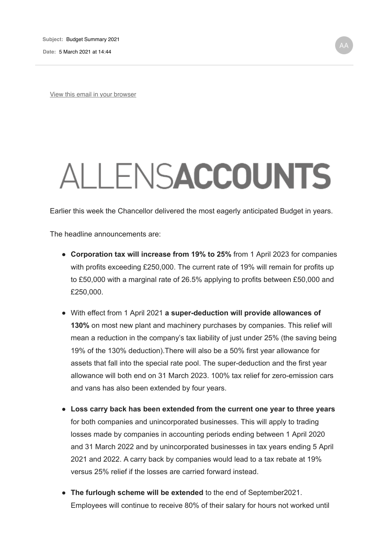**Date:** 5 March 2021 at 14:44

View this email in your browser

## ALLENSACCOUNTS

Earlier this week the Chancellor delivered the most eagerly anticipated Budget in years.

The headline announcements are:

- **Corporation tax will increase from 19% to 25%** from 1 April 2023 for companies with profits exceeding £250,000. The current rate of 19% will remain for profits up to £50,000 with a marginal rate of 26.5% applying to profits between £50,000 and £250,000.
- With effect from 1 April 2021 **a super-deduction will provide allowances of 130%** on most new plant and machinery purchases by companies. This relief will mean a reduction in the company's tax liability of just under 25% (the saving being 19% of the 130% deduction).There will also be a 50% first year allowance for assets that fall into the special rate pool. The super-deduction and the first year allowance will both end on 31 March 2023. 100% tax relief for zero-emission cars and vans has also been extended by four years.
- **Loss carry back has been extended from the current one year to three years** for both companies and unincorporated businesses. This will apply to trading losses made by companies in accounting periods ending between 1 April 2020 and 31 March 2022 and by unincorporated businesses in tax years ending 5 April 2021 and 2022. A carry back by companies would lead to a tax rebate at 19% versus 25% relief if the losses are carried forward instead.
- **The furlough scheme will be extended** to the end of September2021. Employees will continue to receive 80% of their salary for hours not worked until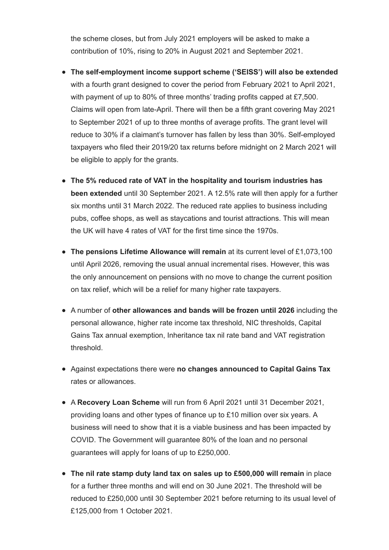the scheme closes, but from July 2021 employers will be asked to make a contribution of 10%, rising to 20% in August 2021 and September 2021.

- **The self-employment income support scheme ('SEISS') will also be extended** with a fourth grant designed to cover the period from February 2021 to April 2021, with payment of up to 80% of three months' trading profits capped at £7,500. Claims will open from late-April. There will then be a fifth grant covering May 2021 to September 2021 of up to three months of average profits. The grant level will reduce to 30% if a claimant's turnover has fallen by less than 30%. Self-employed taxpayers who filed their 2019/20 tax returns before midnight on 2 March 2021 will be eligible to apply for the grants.
- **The 5% reduced rate of VAT in the hospitality and tourism industries has been extended** until 30 September 2021. A 12.5% rate will then apply for a further six months until 31 March 2022. The reduced rate applies to business including pubs, coffee shops, as well as staycations and tourist attractions. This will mean the UK will have 4 rates of VAT for the first time since the 1970s.
- **The pensions Lifetime Allowance will remain** at its current level of £1,073,100 until April 2026, removing the usual annual incremental rises. However, this was the only announcement on pensions with no move to change the current position on tax relief, which will be a relief for many higher rate taxpayers.
- A number of **other allowances and bands will be frozen until 2026** including the personal allowance, higher rate income tax threshold, NIC thresholds, Capital Gains Tax annual exemption, Inheritance tax nil rate band and VAT registration threshold.
- Against expectations there were **no changes announced to Capital Gains Tax** rates or allowances.
- A **Recovery Loan Scheme** will run from 6 April 2021 until 31 December 2021, providing loans and other types of finance up to £10 million over six years. A business will need to show that it is a viable business and has been impacted by COVID. The Government will guarantee 80% of the loan and no personal guarantees will apply for loans of up to £250,000.
- **The nil rate stamp duty land tax on sales up to £500,000 will remain** in place for a further three months and will end on 30 June 2021. The threshold will be reduced to £250,000 until 30 September 2021 before returning to its usual level of £125,000 from 1 October 2021.